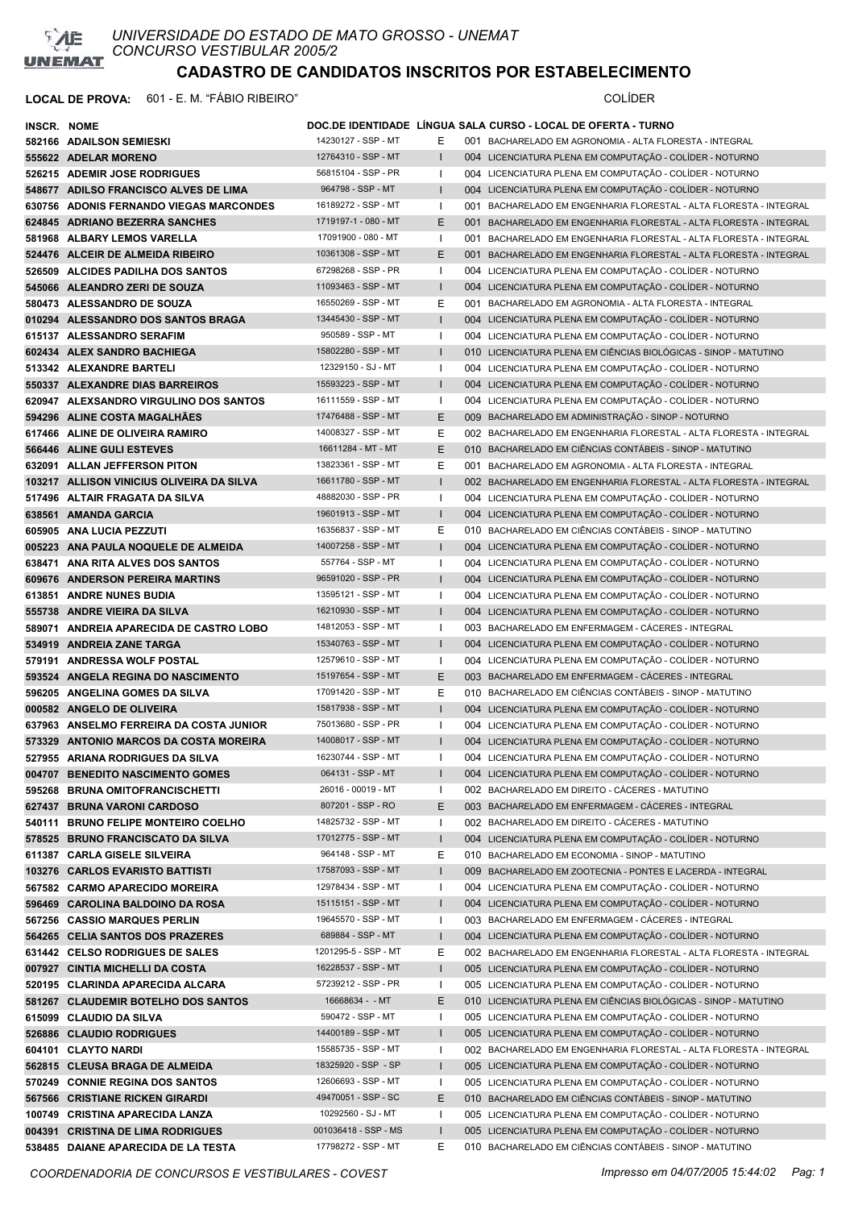

| INSCR. NOME |                                                                            |                                            |                              | DOC.DE IDENTIDADE LINGUA SALA CURSO - LOCAL DE OFERTA - TURNO                                                        |
|-------------|----------------------------------------------------------------------------|--------------------------------------------|------------------------------|----------------------------------------------------------------------------------------------------------------------|
|             | 582166 ADAILSON SEMIESKI                                                   | 14230127 - SSP - MT                        | Е                            | 001 BACHARELADO EM AGRONOMIA - ALTA FLORESTA - INTEGRAL                                                              |
|             | 555622 ADELAR MORENO                                                       | 12764310 - SSP - MT                        | $\mathbf{I}$                 | 004 LICENCIATURA PLENA EM COMPUTAÇÃO - COLÍDER - NOTURNO                                                             |
|             | 526215 ADEMIR JOSE RODRIGUES                                               | 56815104 - SSP - PR                        | Т.                           | 004 LICENCIATURA PLENA EM COMPUTAÇÃO - COLÍDER - NOTURNO                                                             |
|             | 548677 ADILSO FRANCISCO ALVES DE LIMA                                      | 964798 - SSP - MT                          | $\mathbf{I}$                 | 004 LICENCIATURA PLENA EM COMPUTAÇÃO - COLÍDER - NOTURNO                                                             |
|             | 630756 ADONIS FERNANDO VIEGAS MARCONDES                                    | 16189272 - SSP - MT                        | $\mathbf{I}$                 | 001 BACHARELADO EM ENGENHARIA FLORESTAL - ALTA FLORESTA - INTEGRAL                                                   |
|             | 624845 ADRIANO BEZERRA SANCHES                                             | 1719197-1 - 080 - MT                       | E                            | 001 BACHARELADO EM ENGENHARIA FLORESTAL - ALTA FLORESTA - INTEGRAL                                                   |
|             | 581968 ALBARY LEMOS VARELLA                                                | 17091900 - 080 - MT                        | Ι.                           | 001 BACHARELADO EM ENGENHARIA FLORESTAL - ALTA FLORESTA - INTEGRAL                                                   |
|             | 524476 ALCEIR DE ALMEIDA RIBEIRO                                           | 10361308 - SSP - MT                        | E                            | 001 BACHARELADO EM ENGENHARIA FLORESTAL - ALTA FLORESTA - INTEGRAL                                                   |
|             | 526509 ALCIDES PADILHA DOS SANTOS                                          | 67298268 - SSP - PR                        | Т.                           | 004 LICENCIATURA PLENA EM COMPUTAÇÃO - COLÍDER - NOTURNO                                                             |
|             | 545066 ALEANDRO ZERI DE SOUZA                                              | 11093463 - SSP - MT                        | $\mathbf{I}$                 | 004 LICENCIATURA PLENA EM COMPUTAÇÃO - COLÍDER - NOTURNO                                                             |
|             | 580473 ALESSANDRO DE SOUZA                                                 | 16550269 - SSP - MT                        | Ε                            | 001 BACHARELADO EM AGRONOMIA - ALTA FLORESTA - INTEGRAL                                                              |
|             | 010294 ALESSANDRO DOS SANTOS BRAGA                                         | 13445430 - SSP - MT                        | $\mathbf{I}$                 | 004 LICENCIATURA PLENA EM COMPUTAÇÃO - COLÍDER - NOTURNO                                                             |
|             | 615137 ALESSANDRO SERAFIM                                                  | 950589 - SSP - MT                          | $\mathbf{I}$                 | 004 LICENCIATURA PLENA EM COMPUTAÇÃO - COLÍDER - NOTURNO                                                             |
|             | 602434 ALEX SANDRO BACHIEGA                                                | 15802280 - SSP - MT                        | $\mathbf{I}$                 | 010 LICENCIATURA PLENA EM CIÊNCIAS BIOLÓGICAS - SINOP - MATUTINO                                                     |
|             | 513342 ALEXANDRE BARTELI                                                   | 12329150 - SJ - MT                         | Ι.                           | 004 LICENCIATURA PLENA EM COMPUTAÇÃO - COLÍDER - NOTURNO                                                             |
|             | 550337 ALEXANDRE DIAS BARREIROS                                            | 15593223 - SSP - MT                        | $\mathbf{I}$                 | 004 LICENCIATURA PLENA EM COMPUTAÇÃO - COLÍDER - NOTURNO                                                             |
|             | 620947 ALEXSANDRO VIRGULINO DOS SANTOS                                     | 16111559 - SSP - MT                        | $\mathbf{I}$                 | 004 LICENCIATURA PLENA EM COMPUTAÇÃO - COLÍDER - NOTURNO                                                             |
|             | 594296 ALINE COSTA MAGALHAES                                               | 17476488 - SSP - MT                        | E                            | 009 BACHARELADO EM ADMINISTRAÇÃO - SINOP - NOTURNO                                                                   |
|             | 617466 ALINE DE OLIVEIRA RAMIRO                                            | 14008327 - SSP - MT                        | Е                            | 002 BACHARELADO EM ENGENHARIA FLORESTAL - ALTA FLORESTA - INTEGRAL                                                   |
|             | 566446 ALINE GULI ESTEVES                                                  | 16611284 - MT - MT                         | E                            | 010 BACHARELADO EM CIÊNCIAS CONTÁBEIS - SINOP - MATUTINO                                                             |
|             | 632091 ALLAN JEFFERSON PITON                                               | 13823361 - SSP - MT                        | Е                            | 001 BACHARELADO EM AGRONOMIA - ALTA FLORESTA - INTEGRAL                                                              |
|             | 103217 ALLISON VINICIUS OLIVEIRA DA SILVA                                  | 16611780 - SSP - MT                        | $\mathbf{I}$                 | 002 BACHARELADO EM ENGENHARIA FLORESTAL - ALTA FLORESTA - INTEGRAL                                                   |
|             | 517496 ALTAIR FRAGATA DA SILVA                                             | 48882030 - SSP - PR                        | $\mathbf{I}$                 | 004 LICENCIATURA PLENA EM COMPUTAÇÃO - COLÍDER - NOTURNO                                                             |
|             | 638561 AMANDA GARCIA                                                       | 19601913 - SSP - MT                        | $\mathbf{I}$                 | 004 LICENCIATURA PLENA EM COMPUTAÇÃO - COLÍDER - NOTURNO                                                             |
|             | 605905 ANA LUCIA PEZZUTI                                                   | 16356837 - SSP - MT                        | Ε                            | 010 BACHARELADO EM CIÊNCIAS CONTÁBEIS - SINOP - MATUTINO                                                             |
|             | 005223 ANA PAULA NOQUELE DE ALMEIDA                                        | 14007258 - SSP - MT                        |                              | 004 LICENCIATURA PLENA EM COMPUTAÇÃO - COLÍDER - NOTURNO                                                             |
|             | 638471 ANA RITA ALVES DOS SANTOS                                           | 557764 - SSP - MT                          | Т.                           | 004 LICENCIATURA PLENA EM COMPUTAÇÃO - COLÍDER - NOTURNO                                                             |
|             | 609676 ANDERSON PEREIRA MARTINS                                            | 96591020 - SSP - PR                        | $\mathbf{I}$                 | 004 LICENCIATURA PLENA EM COMPUTAÇÃO - COLÍDER - NOTURNO                                                             |
|             | 613851 ANDRE NUNES BUDIA                                                   | 13595121 - SSP - MT                        | Ι.                           | 004 LICENCIATURA PLENA EM COMPUTAÇÃO - COLÍDER - NOTURNO                                                             |
|             | 555738 ANDRE VIEIRA DA SILVA                                               | 16210930 - SSP - MT                        | $\mathbf{I}$                 | 004 LICENCIATURA PLENA EM COMPUTAÇÃO - COLÍDER - NOTURNO                                                             |
|             | 589071 ANDREIA APARECIDA DE CASTRO LOBO                                    | 14812053 - SSP - MT                        | Ι.                           | 003 BACHARELADO EM ENFERMAGEM - CÁCERES - INTEGRAL                                                                   |
|             | 534919 ANDREIA ZANE TARGA                                                  | 15340763 - SSP - MT                        | $\mathbf{I}$                 | 004 LICENCIATURA PLENA EM COMPUTAÇÃO - COLÍDER - NOTURNO                                                             |
|             | 579191 ANDRESSA WOLF POSTAL                                                | 12579610 - SSP - MT                        | Т.                           | 004 LICENCIATURA PLENA EM COMPUTAÇÃO - COLÍDER - NOTURNO                                                             |
|             | 593524 ANGELA REGINA DO NASCIMENTO                                         | 15197654 - SSP - MT                        | Е                            | 003 BACHARELADO EM ENFERMAGEM - CÁCERES - INTEGRAL                                                                   |
|             | 596205 ANGELINA GOMES DA SILVA                                             | 17091420 - SSP - MT                        | Е                            | 010 BACHARELADO EM CIÊNCIAS CONTÁBEIS - SINOP - MATUTINO                                                             |
|             | 000582 ANGELO DE OLIVEIRA                                                  | 15817938 - SSP - MT<br>75013680 - SSP - PR | $\mathbf{I}$                 | 004 LICENCIATURA PLENA EM COMPUTAÇÃO - COLÍDER - NOTURNO                                                             |
|             | 637963 ANSELMO FERREIRA DA COSTA JUNIOR                                    | 14008017 - SSP - MT                        | $\mathbf{I}$<br>$\mathbf{I}$ | 004 LICENCIATURA PLENA EM COMPUTAÇÃO - COLÍDER - NOTURNO<br>004 LICENCIATURA PLENA EM COMPUTAÇÃO - COLÍDER - NOTURNO |
|             | 573329 ANTONIO MARCOS DA COSTA MOREIRA<br>527955 ARIANA RODRIGUES DA SILVA | 16230744 - SSP - MT                        |                              | 004 LICENCIATURA PLENA EM COMPUTAÇÃO - COLÍDER - NOTURNO                                                             |
|             | 004707 BENEDITO NASCIMENTO GOMES                                           | 064131 - SSP - MT                          |                              | 004 LICENCIATURA PLENA EM COMPUTAÇÃO - COLÍDER - NOTURNO                                                             |
|             | 595268 BRUNA OMITOFRANCISCHETTI                                            | 26016 - 00019 - MT                         | Ι.                           | 002 BACHARELADO EM DIREITO - CÁCERES - MATUTINO                                                                      |
|             | 627437 BRUNA VARONI CARDOSO                                                | 807201 - SSP - RO                          | Ε                            | 003 BACHARELADO EM ENFERMAGEM - CÁCERES - INTEGRAL                                                                   |
|             | 540111 BRUNO FELIPE MONTEIRO COELHO                                        | 14825732 - SSP - MT                        | Ι.                           | 002 BACHARELADO EM DIREITO - CÁCERES - MATUTINO                                                                      |
|             | 578525 BRUNO FRANCISCATO DA SILVA                                          | 17012775 - SSP - MT                        | L                            | 004 LICENCIATURA PLENA EM COMPUTAÇÃO - COLÍDER - NOTURNO                                                             |
|             | 611387 CARLA GISELE SILVEIRA                                               | 964148 - SSP - MT                          | Е                            | 010 BACHARELADO EM ECONOMIA - SINOP - MATUTINO                                                                       |
|             | 103276 CARLOS EVARISTO BATTISTI                                            | 17587093 - SSP - MT                        | $\mathbf{I}$                 | 009 BACHARELADO EM ZOOTECNIA - PONTES E LACERDA - INTEGRAL                                                           |
|             | 567582 CARMO APARECIDO MOREIRA                                             | 12978434 - SSP - MT                        | Ι.                           | 004 LICENCIATURA PLENA EM COMPUTAÇÃO - COLÍDER - NOTURNO                                                             |
|             | 596469 CAROLINA BALDOINO DA ROSA                                           | 15115151 - SSP - MT                        | L                            | 004 LICENCIATURA PLENA EM COMPUTAÇÃO - COLÍDER - NOTURNO                                                             |
|             | 567256 CASSIO MARQUES PERLIN                                               | 19645570 - SSP - MT                        | $\mathbf{I}$                 | 003 BACHARELADO EM ENFERMAGEM - CÁCERES - INTEGRAL                                                                   |
|             | 564265 CELIA SANTOS DOS PRAZERES                                           | 689884 - SSP - MT                          | I.                           | 004 LICENCIATURA PLENA EM COMPUTAÇÃO - COLÍDER - NOTURNO                                                             |
|             | 631442 CELSO RODRIGUES DE SALES                                            | 1201295-5 - SSP - MT                       | Ε                            | 002 BACHARELADO EM ENGENHARIA FLORESTAL - ALTA FLORESTA - INTEGRAL                                                   |
|             | 007927 CINTIA MICHELLI DA COSTA                                            | 16228537 - SSP - MT                        |                              | 005 LICENCIATURA PLENA EM COMPUTAÇÃO - COLÍDER - NOTURNO                                                             |
|             | 520195 CLARINDA APARECIDA ALCARA                                           | 57239212 - SSP - PR                        |                              | 005 LICENCIATURA PLENA EM COMPUTAÇÃO - COLÍDER - NOTURNO                                                             |
|             | 581267 CLAUDEMIR BOTELHO DOS SANTOS                                        | 16668634 - - MT                            | E                            | 010 LICENCIATURA PLENA EM CIÊNCIAS BIOLÓGICAS - SINOP - MATUTINO                                                     |
|             | 615099 CLAUDIO DA SILVA                                                    | 590472 - SSP - MT                          | Ι.                           | 005 LICENCIATURA PLENA EM COMPUTAÇÃO - COLÍDER - NOTURNO                                                             |
|             | 526886 CLAUDIO RODRIGUES                                                   | 14400189 - SSP - MT                        | L                            | 005 LICENCIATURA PLENA EM COMPUTAÇÃO - COLÍDER - NOTURNO                                                             |
|             | 604101 CLAYTO NARDI                                                        | 15585735 - SSP - MT                        | Ι.                           | 002 BACHARELADO EM ENGENHARIA FLORESTAL - ALTA FLORESTA - INTEGRAL                                                   |
|             | 562815 CLEUSA BRAGA DE ALMEIDA                                             | 18325920 - SSP - SP                        | L                            | 005 LICENCIATURA PLENA EM COMPUTAÇÃO - COLÍDER - NOTURNO                                                             |
|             | 570249 CONNIE REGINA DOS SANTOS                                            | 12606693 - SSP - MT                        | Ι.                           | 005 LICENCIATURA PLENA EM COMPUTAÇÃO - COLÍDER - NOTURNO                                                             |
|             | 567566 CRISTIANE RICKEN GIRARDI                                            | 49470051 - SSP - SC                        | Е                            | 010 BACHARELADO EM CIÊNCIAS CONTÁBEIS - SINOP - MATUTINO                                                             |
|             | 100749 CRISTINA APARECIDA LANZA                                            | 10292560 - SJ - MT                         |                              | 005 LICENCIATURA PLENA EM COMPUTAÇÃO - COLÍDER - NOTURNO                                                             |
|             | 004391 CRISTINA DE LIMA RODRIGUES                                          | 001036418 - SSP - MS                       | $\mathbf{I}$                 | 005 LICENCIATURA PLENA EM COMPUTAÇÃO - COLÍDER - NOTURNO                                                             |
|             | 538485 DAIANE APARECIDA DE LA TESTA                                        | 17798272 - SSP - MT                        | Е                            | 010 BACHARELADO EM CIÊNCIAS CONTÁBEIS - SINOP - MATUTINO                                                             |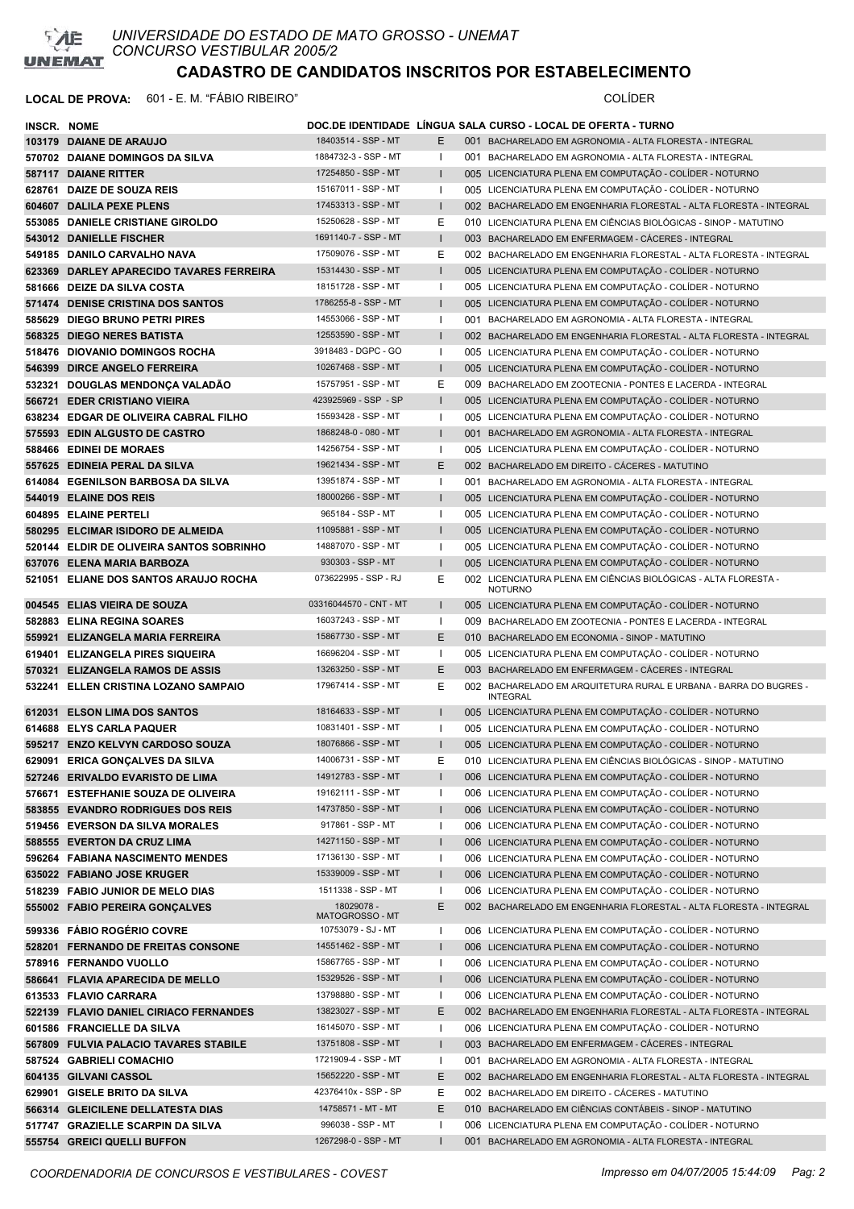

| INSCR. NOME |                                                                               |                                            |              | DOC.DE IDENTIDADE LINGUA SALA CURSO - LOCAL DE OFERTA - TURNO                                                                  |
|-------------|-------------------------------------------------------------------------------|--------------------------------------------|--------------|--------------------------------------------------------------------------------------------------------------------------------|
|             | 103179 DAIANE DE ARAUJO                                                       | 18403514 - SSP - MT                        | E.           | 001 BACHARELADO EM AGRONOMIA - ALTA FLORESTA - INTEGRAL                                                                        |
|             | 570702 DAIANE DOMINGOS DA SILVA                                               | 1884732-3 - SSP - MT                       | Т.           | 001 BACHARELADO EM AGRONOMIA - ALTA FLORESTA - INTEGRAL                                                                        |
|             | 587117 DAIANE RITTER                                                          | 17254850 - SSP - MT                        | L            | 005 LICENCIATURA PLENA EM COMPUTAÇÃO - COLÍDER - NOTURNO                                                                       |
|             | 628761 DAIZE DE SOUZA REIS                                                    | 15167011 - SSP - MT                        | T            | 005 LICENCIATURA PLENA EM COMPUTAÇÃO - COLÍDER - NOTURNO                                                                       |
|             | 604607 DALILA PEXE PLENS                                                      | 17453313 - SSP - MT                        | $\mathbf{I}$ | 002 BACHARELADO EM ENGENHARIA FLORESTAL - ALTA FLORESTA - INTEGRAL                                                             |
|             | 553085 DANIELE CRISTIANE GIROLDO                                              | 15250628 - SSP - MT                        | Ε            | 010 LICENCIATURA PLENA EM CIÊNCIAS BIOLÓGICAS - SINOP - MATUTINO                                                               |
|             | 543012 DANIELLE FISCHER                                                       | 1691140-7 - SSP - MT                       | L            | 003 BACHARELADO EM ENFERMAGEM - CÁCERES - INTEGRAL                                                                             |
|             | 549185 DANILO CARVALHO NAVA                                                   | 17509076 - SSP - MT                        | Ε            | 002 BACHARELADO EM ENGENHARIA FLORESTAL - ALTA FLORESTA - INTEGRAL                                                             |
|             | 623369 DARLEY APARECIDO TAVARES FERREIRA                                      | 15314430 - SSP - MT                        | L            | 005 LICENCIATURA PLENA EM COMPUTAÇÃO - COLÍDER - NOTURNO                                                                       |
|             | 581666 DEIZE DA SILVA COSTA                                                   | 18151728 - SSP - MT                        | $\mathbf{I}$ | 005 LICENCIATURA PLENA EM COMPUTAÇÃO - COLÍDER - NOTURNO                                                                       |
|             | 571474 DENISE CRISTINA DOS SANTOS                                             | 1786255-8 - SSP - MT                       | L            | 005 LICENCIATURA PLENA EM COMPUTAÇÃO - COLÍDER - NOTURNO                                                                       |
|             | 585629 DIEGO BRUNO PETRI PIRES                                                | 14553066 - SSP - MT                        |              | 001 BACHARELADO EM AGRONOMIA - ALTA FLORESTA - INTEGRAL                                                                        |
|             | 568325 DIEGO NERES BATISTA                                                    | 12553590 - SSP - MT                        | L            | 002 BACHARELADO EM ENGENHARIA FLORESTAL - ALTA FLORESTA - INTEGRAL                                                             |
|             | 518476 DIOVANIO DOMINGOS ROCHA                                                | 3918483 - DGPC - GO                        | I.           | 005 LICENCIATURA PLENA EM COMPUTAÇÃO - COLÍDER - NOTURNO                                                                       |
|             | 546399 DIRCE ANGELO FERREIRA                                                  | 10267468 - SSP - MT                        | $\mathbf{I}$ | 005 LICENCIATURA PLENA EM COMPUTAÇÃO - COLÍDER - NOTURNO                                                                       |
|             | 532321 DOUGLAS MENDONÇA VALADÃO                                               | 15757951 - SSP - MT                        | Ε            | 009 BACHARELADO EM ZOOTECNIA - PONTES E LACERDA - INTEGRAL                                                                     |
|             | 566721 EDER CRISTIANO VIEIRA                                                  | 423925969 - SSP - SP                       | $\mathbf{I}$ | 005 LICENCIATURA PLENA EM COMPUTAÇÃO - COLÍDER - NOTURNO                                                                       |
|             | 638234 EDGAR DE OLIVEIRA CABRAL FILHO                                         | 15593428 - SSP - MT                        | $\mathbf{I}$ | 005 LICENCIATURA PLENA EM COMPUTAÇÃO - COLÍDER - NOTURNO                                                                       |
|             | 575593 EDIN ALGUSTO DE CASTRO                                                 | 1868248-0 - 080 - MT                       | $\mathbf{I}$ | 001 BACHARELADO EM AGRONOMIA - ALTA FLORESTA - INTEGRAL                                                                        |
|             | 588466 EDINEI DE MORAES                                                       | 14256754 - SSP - MT                        | I.           | 005 LICENCIATURA PLENA EM COMPUTAÇÃO - COLÍDER - NOTURNO                                                                       |
|             | 557625 EDINEIA PERAL DA SILVA                                                 | 19621434 - SSP - MT                        | E            | 002 BACHARELADO EM DIREITO - CÁCERES - MATUTINO                                                                                |
|             | 614084 EGENILSON BARBOSA DA SILVA                                             | 13951874 - SSP - MT                        | T            | 001 BACHARELADO EM AGRONOMIA - ALTA FLORESTA - INTEGRAL                                                                        |
|             | 544019 ELAINE DOS REIS                                                        | 18000266 - SSP - MT<br>965184 - SSP - MT   | L            | 005 LICENCIATURA PLENA EM COMPUTAÇÃO - COLÍDER - NOTURNO                                                                       |
|             | 604895 ELAINE PERTELI                                                         | 11095881 - SSP - MT                        |              | 005 LICENCIATURA PLENA EM COMPUTAÇÃO - COLÍDER - NOTURNO                                                                       |
|             | 580295 ELCIMAR ISIDORO DE ALMEIDA<br>520144 ELDIR DE OLIVEIRA SANTOS SOBRINHO | 14887070 - SSP - MT                        | -1           | 005 LICENCIATURA PLENA EM COMPUTAÇÃO - COLÍDER - NOTURNO<br>005 LICENCIATURA PLENA EM COMPUTAÇÃO - COLÍDER - NOTURNO           |
|             | 637076 ELENA MARIA BARBOZA                                                    | 930303 - SSP - MT                          | $\mathbf{I}$ | 005 LICENCIATURA PLENA EM COMPUTAÇÃO - COLÍDER - NOTURNO                                                                       |
|             | 521051 ELIANE DOS SANTOS ARAUJO ROCHA                                         | 073622995 - SSP - RJ                       | Ε            | 002 LICENCIATURA PLENA EM CIÊNCIAS BIOLÓGICAS - ALTA FLORESTA -                                                                |
|             |                                                                               |                                            |              | <b>NOTURNO</b>                                                                                                                 |
|             | 004545 ELIAS VIEIRA DE SOUZA                                                  | 03316044570 - CNT - MT                     | L            | 005 LICENCIATURA PLENA EM COMPUTAÇÃO - COLÍDER - NOTURNO                                                                       |
|             | 582883 ELINA REGINA SOARES                                                    | 16037243 - SSP - MT                        | ı.           | 009 BACHARELADO EM ZOOTECNIA - PONTES E LACERDA - INTEGRAL                                                                     |
|             | 559921 ELIZANGELA MARIA FERREIRA                                              | 15867730 - SSP - MT                        | E            | 010 BACHARELADO EM ECONOMIA - SINOP - MATUTINO                                                                                 |
|             | 619401 ELIZANGELA PIRES SIQUEIRA                                              | 16696204 - SSP - MT                        | T            | 005 LICENCIATURA PLENA EM COMPUTAÇÃO - COLÍDER - NOTURNO                                                                       |
|             | 570321 ELIZANGELA RAMOS DE ASSIS                                              | 13263250 - SSP - MT                        | E            | 003 BACHARELADO EM ENFERMAGEM - CÁCERES - INTEGRAL                                                                             |
|             | 532241 ELLEN CRISTINA LOZANO SAMPAIO                                          | 17967414 - SSP - MT                        | Е            | 002 BACHARELADO EM ARQUITETURA RURAL E URBANA - BARRA DO BUGRES -<br><b>INTEGRAL</b>                                           |
|             | 612031 ELSON LIMA DOS SANTOS                                                  | 18164633 - SSP - MT                        |              | 005 LICENCIATURA PLENA EM COMPUTAÇÃO - COLÍDER - NOTURNO                                                                       |
|             | 614688 ELYS CARLA PAQUER                                                      | 10831401 - SSP - MT                        |              | 005 LICENCIATURA PLENA EM COMPUTAÇÃO - COLÍDER - NOTURNO                                                                       |
|             | 595217 ENZO KELVYN CARDOSO SOUZA                                              | 18076866 - SSP - MT                        | $\mathbf{I}$ | 005 LICENCIATURA PLENA EM COMPUTAÇÃO - COLÍDER - NOTURNO                                                                       |
|             | 629091 ERICA GONÇALVES DA SILVA                                               | 14006731 - SSP - MT                        | Е            | 010 LICENCIATURA PLENA EM CIÊNCIAS BIOLÓGICAS - SINOP - MATUTINO                                                               |
|             | 527246 ERIVALDO EVARISTO DE LIMA                                              | 14912783 - SSP - MT                        | L            | 006 LICENCIATURA PLENA EM COMPUTAÇÃO - COLÍDER - NOTURNO                                                                       |
|             | 576671 ESTEFHANIE SOUZA DE OLIVEIRA                                           | 19162111 - SSP - MT                        |              | 006 LICENCIATURA PLENA EM COMPUTAÇÃO - COLÍDER - NOTURNO                                                                       |
|             | 583855 EVANDRO RODRIGUES DOS REIS                                             | 14737850 - SSP - MT                        | L            | 006 LICENCIATURA PLENA EM COMPUTAÇÃO - COLÍDER - NOTURNO                                                                       |
|             | 519456 EVERSON DA SILVA MORALES                                               | 917861 - SSP - MT                          |              | 006 LICENCIATURA PLENA EM COMPUTAÇÃO - COLÍDER - NOTURNO                                                                       |
|             | 588555 EVERTON DA CRUZ LIMA                                                   | 14271150 - SSP - MT                        | L            | 006 LICENCIATURA PLENA EM COMPUTAÇÃO - COLÍDER - NOTURNO                                                                       |
|             | 596264 FABIANA NASCIMENTO MENDES                                              | 17136130 - SSP - MT<br>15339009 - SSP - MT |              | 006 LICENCIATURA PLENA EM COMPUTAÇÃO - COLÍDER - NOTURNO                                                                       |
|             | 635022 FABIANO JOSE KRUGER                                                    | 1511338 - SSP - MT                         | L            | 006 LICENCIATURA PLENA EM COMPUTAÇÃO - COLÍDER - NOTURNO                                                                       |
|             | 518239 FABIO JUNIOR DE MELO DIAS<br>555002 FABIO PEREIRA GONÇALVES            | 18029078-                                  | E            | 006 LICENCIATURA PLENA EM COMPUTAÇÃO - COLÍDER - NOTURNO<br>002 BACHARELADO EM ENGENHARIA FLORESTAL - ALTA FLORESTA - INTEGRAL |
|             | 599336 FÁBIO ROGÉRIO COVRE                                                    | MATOGROSSO - MT<br>10753079 - SJ - MT      | T            | 006 LICENCIATURA PLENA EM COMPUTAÇÃO - COLÍDER - NOTURNO                                                                       |
|             | 528201 FERNANDO DE FREITAS CONSONE                                            | 14551462 - SSP - MT                        | L            | 006 LICENCIATURA PLENA EM COMPUTAÇÃO - COLÍDER - NOTURNO                                                                       |
|             | 578916 FERNANDO VUOLLO                                                        | 15867765 - SSP - MT                        | L            | 006 LICENCIATURA PLENA EM COMPUTAÇÃO - COLÍDER - NOTURNO                                                                       |
|             | 586641 FLAVIA APARECIDA DE MELLO                                              | 15329526 - SSP - MT                        |              | 006 LICENCIATURA PLENA EM COMPUTAÇÃO - COLÍDER - NOTURNO                                                                       |
|             | 613533 FLAVIO CARRARA                                                         | 13798880 - SSP - MT                        |              | 006 LICENCIATURA PLENA EM COMPUTAÇÃO - COLÍDER - NOTURNO                                                                       |
|             | 522139 FLAVIO DANIEL CIRIACO FERNANDES                                        | 13823027 - SSP - MT                        | Е            | 002 BACHARELADO EM ENGENHARIA FLORESTAL - ALTA FLORESTA - INTEGRAL                                                             |
|             | 601586 FRANCIELLE DA SILVA                                                    | 16145070 - SSP - MT                        | ı            | 006 LICENCIATURA PLENA EM COMPUTAÇÃO - COLÍDER - NOTURNO                                                                       |
|             | 567809 FULVIA PALACIO TAVARES STABILE                                         | 13751808 - SSP - MT                        | L            | 003 BACHARELADO EM ENFERMAGEM - CÁCERES - INTEGRAL                                                                             |
|             | 587524 GABRIELI COMACHIO                                                      | 1721909-4 - SSP - MT                       | ı            | 001 BACHARELADO EM AGRONOMIA - ALTA FLORESTA - INTEGRAL                                                                        |
|             | 604135 GILVANI CASSOL                                                         | 15652220 - SSP - MT                        | Е            | 002 BACHARELADO EM ENGENHARIA FLORESTAL - ALTA FLORESTA - INTEGRAL                                                             |
|             | 629901 GISELE BRITO DA SILVA                                                  | 42376410x - SSP - SP                       | Е            | 002 BACHARELADO EM DIREITO - CÁCERES - MATUTINO                                                                                |
|             | 566314 GLEICILENE DELLATESTA DIAS                                             | 14758571 - MT - MT                         | E.           | 010 BACHARELADO EM CIÊNCIAS CONTÁBEIS - SINOP - MATUTINO                                                                       |
|             | 517747 GRAZIELLE SCARPIN DA SILVA                                             | 996038 - SSP - MT                          |              | 006 LICENCIATURA PLENA EM COMPUTAÇÃO - COLÍDER - NOTURNO                                                                       |
|             | 555754 GREICI QUELLI BUFFON                                                   | 1267298-0 - SSP - MT                       | $\mathbf{I}$ | 001 BACHARELADO EM AGRONOMIA - ALTA FLORESTA - INTEGRAL                                                                        |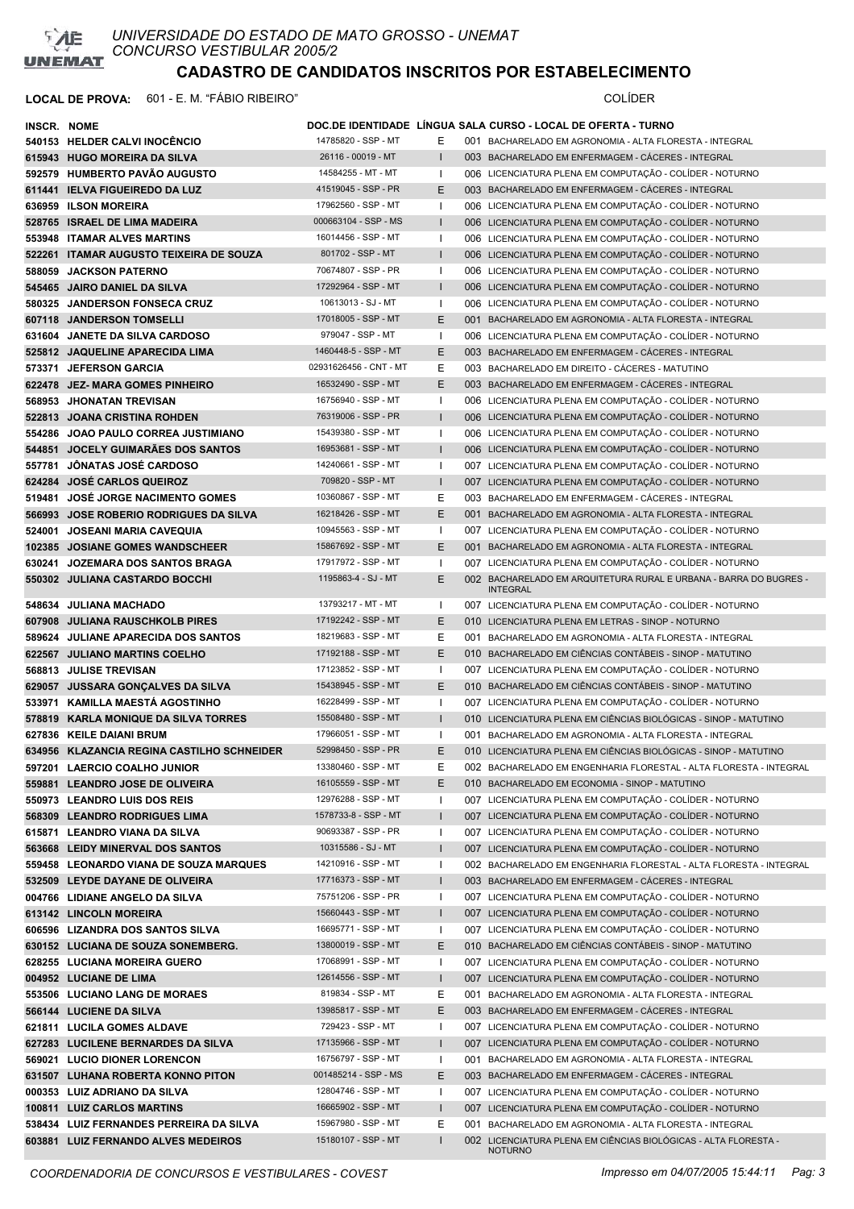

| INSCR. NOME |                                                                                |                                            |              | DOC.DE IDENTIDADE LINGUA SALA CURSO - LOCAL DE OFERTA - TURNO                                                                                |
|-------------|--------------------------------------------------------------------------------|--------------------------------------------|--------------|----------------------------------------------------------------------------------------------------------------------------------------------|
|             | 540153 HELDER CALVI INOCENCIO                                                  | 14785820 - SSP - MT                        | Е            | 001 BACHARELADO EM AGRONOMIA - ALTA FLORESTA - INTEGRAL                                                                                      |
|             | 615943 HUGO MOREIRA DA SILVA                                                   | 26116 - 00019 - MT                         | L            | 003 BACHARELADO EM ENFERMAGEM - CÁCERES - INTEGRAL                                                                                           |
|             | 592579 HUMBERTO PAVÃO AUGUSTO                                                  | 14584255 - MT - MT                         | -1           | 006 LICENCIATURA PLENA EM COMPUTAÇÃO - COLÍDER - NOTURNO                                                                                     |
|             | 611441 IELVA FIGUEIREDO DA LUZ                                                 | 41519045 - SSP - PR                        | E            | 003 BACHARELADO EM ENFERMAGEM - CÁCERES - INTEGRAL                                                                                           |
|             | 636959 ILSON MOREIRA                                                           | 17962560 - SSP - MT                        |              | 006 LICENCIATURA PLENA EM COMPUTAÇÃO - COLÍDER - NOTURNO                                                                                     |
|             | 528765 ISRAEL DE LIMA MADEIRA                                                  | 000663104 - SSP - MS                       |              | 006 LICENCIATURA PLENA EM COMPUTAÇÃO - COLÍDER - NOTURNO                                                                                     |
|             | 553948 ITAMAR ALVES MARTINS                                                    | 16014456 - SSP - MT                        |              | 006 LICENCIATURA PLENA EM COMPUTAÇÃO - COLÍDER - NOTURNO                                                                                     |
|             | 522261 ITAMAR AUGUSTO TEIXEIRA DE SOUZA                                        | 801702 - SSP - MT                          | L            | 006 LICENCIATURA PLENA EM COMPUTAÇÃO - COLÍDER - NOTURNO                                                                                     |
|             | 588059 JACKSON PATERNO                                                         | 70674807 - SSP - PR                        |              | 006 LICENCIATURA PLENA EM COMPUTAÇÃO - COLÍDER - NOTURNO                                                                                     |
|             | 545465 JAIRO DANIEL DA SILVA                                                   | 17292964 - SSP - MT                        | L            | 006 LICENCIATURA PLENA EM COMPUTAÇÃO - COLÍDER - NOTURNO                                                                                     |
|             | 580325 JANDERSON FONSECA CRUZ                                                  | 10613013 - SJ - MT                         | Т.           | 006 LICENCIATURA PLENA EM COMPUTAÇÃO - COLÍDER - NOTURNO                                                                                     |
|             | 607118 JANDERSON TOMSELLI                                                      | 17018005 - SSP - MT                        | Е            | 001 BACHARELADO EM AGRONOMIA - ALTA FLORESTA - INTEGRAL                                                                                      |
|             | 631604 JANETE DA SILVA CARDOSO                                                 | 979047 - SSP - MT                          |              | 006 LICENCIATURA PLENA EM COMPUTAÇÃO - COLÍDER - NOTURNO                                                                                     |
|             | 525812 JAQUELINE APARECIDA LIMA                                                | 1460448-5 - SSP - MT                       | Е            | 003 BACHARELADO EM ENFERMAGEM - CÁCERES - INTEGRAL                                                                                           |
|             | 573371 JEFERSON GARCIA                                                         | 02931626456 - CNT - MT                     | Е            | 003 BACHARELADO EM DIREITO - CÁCERES - MATUTINO                                                                                              |
|             | 622478 JEZ- MARA GOMES PINHEIRO                                                | 16532490 - SSP - MT                        | E            | 003 BACHARELADO EM ENFERMAGEM - CÁCERES - INTEGRAL                                                                                           |
|             | 568953 JHONATAN TREVISAN                                                       | 16756940 - SSP - MT                        |              | 006 LICENCIATURA PLENA EM COMPUTAÇÃO - COLÍDER - NOTURNO                                                                                     |
|             | 522813 JOANA CRISTINA ROHDEN                                                   | 76319006 - SSP - PR                        | $\mathbf{I}$ | 006 LICENCIATURA PLENA EM COMPUTAÇÃO - COLÍDER - NOTURNO                                                                                     |
|             | 554286 JOAO PAULO CORREA JUSTIMIANO                                            | 15439380 - SSP - MT                        | -1           | 006 LICENCIATURA PLENA EM COMPUTAÇÃO - COLÍDER - NOTURNO                                                                                     |
|             | 544851 JOCELY GUIMARAES DOS SANTOS                                             | 16953681 - SSP - MT                        | ı            | 006 LICENCIATURA PLENA EM COMPUTAÇÃO - COLÍDER - NOTURNO                                                                                     |
| 557781      | <b>JÔNATAS JOSÉ CARDOSO</b>                                                    | 14240661 - SSP - MT                        | -1           | 007 LICENCIATURA PLENA EM COMPUTAÇÃO - COLÍDER - NOTURNO                                                                                     |
|             | 624284 JOSÉ CARLOS QUEIROZ                                                     | 709820 - SSP - MT                          | $\mathbf{I}$ | 007 LICENCIATURA PLENA EM COMPUTAÇÃO - COLÍDER - NOTURNO                                                                                     |
|             | 519481 JOSÉ JORGE NACIMENTO GOMES                                              | 10360867 - SSP - MT                        | Е            | 003 BACHARELADO EM ENFERMAGEM - CÁCERES - INTEGRAL                                                                                           |
|             | 566993 JOSE ROBERIO RODRIGUES DA SILVA                                         | 16218426 - SSP - MT                        | E            | 001 BACHARELADO EM AGRONOMIA - ALTA FLORESTA - INTEGRAL                                                                                      |
|             | 524001 JOSEANI MARIA CAVEQUIA                                                  | 10945563 - SSP - MT                        |              | 007 LICENCIATURA PLENA EM COMPUTAÇÃO - COLÍDER - NOTURNO                                                                                     |
|             | 102385 JOSIANE GOMES WANDSCHEER                                                | 15867692 - SSP - MT                        | E            | 001 BACHARELADO EM AGRONOMIA - ALTA FLORESTA - INTEGRAL                                                                                      |
|             | 630241 JOZEMARA DOS SANTOS BRAGA                                               | 17917972 - SSP - MT                        |              | 007 LICENCIATURA PLENA EM COMPUTAÇÃO - COLÍDER - NOTURNO                                                                                     |
|             | 550302 JULIANA CASTARDO BOCCHI                                                 | 1195863-4 - SJ - MT                        | E            | 002 BACHARELADO EM ARQUITETURA RURAL E URBANA - BARRA DO BUGRES -<br><b>INTEGRAL</b>                                                         |
|             | 548634 JULIANA MACHADO                                                         | 13793217 - MT - MT                         | Т.           | 007 LICENCIATURA PLENA EM COMPUTAÇÃO - COLÍDER - NOTURNO                                                                                     |
|             | 607908 JULIANA RAUSCHKOLB PIRES                                                | 17192242 - SSP - MT                        | Е            | 010 LICENCIATURA PLENA EM LETRAS - SINOP - NOTURNO                                                                                           |
|             | 589624 JULIANE APARECIDA DOS SANTOS                                            | 18219683 - SSP - MT                        | Е            | 001 BACHARELADO EM AGRONOMIA - ALTA FLORESTA - INTEGRAL                                                                                      |
|             | 622567 JULIANO MARTINS COELHO                                                  | 17192188 - SSP - MT                        | Е            | 010 BACHARELADO EM CIÊNCIAS CONTÁBEIS - SINOP - MATUTINO                                                                                     |
|             | 568813 JULISE TREVISAN                                                         | 17123852 - SSP - MT                        |              | 007 LICENCIATURA PLENA EM COMPUTAÇÃO - COLÍDER - NOTURNO                                                                                     |
|             | 629057 JUSSARA GONÇALVES DA SILVA                                              | 15438945 - SSP - MT                        | E            | 010 BACHARELADO EM CIÊNCIAS CONTÁBEIS - SINOP - MATUTINO                                                                                     |
|             | 533971 KAMILLA MAESTÁ AGOSTINHO                                                | 16228499 - SSP - MT                        |              | 007 LICENCIATURA PLENA EM COMPUTAÇÃO - COLÍDER - NOTURNO                                                                                     |
|             | 578819 KARLA MONIQUE DA SILVA TORRES                                           | 15508480 - SSP - MT                        | $\mathbf{I}$ | 010 LICENCIATURA PLENA EM CIÊNCIAS BIOLÓGICAS - SINOP - MATUTINO                                                                             |
|             | 627836 KEILE DAIANI BRUM                                                       | 17966051 - SSP - MT                        | л.           | 001 BACHARELADO EM AGRONOMIA - ALTA FLORESTA - INTEGRAL                                                                                      |
|             | 634956 KLAZANCIA REGINA CASTILHO SCHNEIDER                                     | 52998450 - SSP - PR                        | E            | 010 LICENCIATURA PLENA EM CIÊNCIAS BIOLÓGICAS - SINOP - MATUTINO                                                                             |
|             | 597201 LAERCIO COALHO JUNIOR                                                   | 13380460 - SSP - MT                        | Ε            | 002 BACHARELADO EM ENGENHARIA FLORESTAL - ALTA FLORESTA - INTEGRAL                                                                           |
|             | 559881 LEANDRO JOSE DE OLIVEIRA                                                | 16105559 - SSP - MT                        | Е            | 010 BACHARELADO EM ECONOMIA - SINOP - MATUTINO                                                                                               |
|             | 550973 LEANDRO LUIS DOS REIS                                                   | 12976288 - SSP - MT                        |              | 007 LICENCIATURA PLENA EM COMPUTAÇÃO - COLÍDER - NOTURNO                                                                                     |
|             | 568309 LEANDRO RODRIGUES LIMA                                                  | 1578733-8 - SSP - MT                       | I            | 007 LICENCIATURA PLENA EM COMPUTAÇÃO - COLÍDER - NOTURNO                                                                                     |
|             | 615871 LEANDRO VIANA DA SILVA                                                  | 90693387 - SSP - PR                        |              | 007 LICENCIATURA PLENA EM COMPUTAÇÃO - COLÍDER - NOTURNO                                                                                     |
|             | 563668 LEIDY MINERVAL DOS SANTOS                                               | 10315586 - SJ - MT                         | $\mathbf{I}$ | 007 LICENCIATURA PLENA EM COMPUTAÇÃO - COLÍDER - NOTURNO                                                                                     |
|             | 559458 LEONARDO VIANA DE SOUZA MARQUES                                         | 14210916 - SSP - MT                        |              | 002 BACHARELADO EM ENGENHARIA FLORESTAL - ALTA FLORESTA - INTEGRAL                                                                           |
|             | 532509 LEYDE DAYANE DE OLIVEIRA                                                | 17716373 - SSP - MT                        | L            | 003 BACHARELADO EM ENFERMAGEM - CÁCERES - INTEGRAL                                                                                           |
|             | 004766 LIDIANE ANGELO DA SILVA                                                 | 75751206 - SSP - PR                        |              | 007 LICENCIATURA PLENA EM COMPUTAÇÃO - COLÍDER - NOTURNO                                                                                     |
|             | 613142 LINCOLN MOREIRA                                                         | 15660443 - SSP - MT                        | I            | 007 LICENCIATURA PLENA EM COMPUTAÇÃO - COLÍDER - NOTURNO                                                                                     |
|             | 606596 LIZANDRA DOS SANTOS SILVA                                               | 16695771 - SSP - MT                        |              | 007 LICENCIATURA PLENA EM COMPUTAÇÃO - COLÍDER - NOTURNO                                                                                     |
|             | 630152 LUCIANA DE SOUZA SONEMBERG.                                             | 13800019 - SSP - MT                        | Ε            | 010 BACHARELADO EM CIÊNCIAS CONTÁBEIS - SINOP - MATUTINO                                                                                     |
|             | 628255 LUCIANA MOREIRA GUERO                                                   | 17068991 - SSP - MT                        |              | 007 LICENCIATURA PLENA EM COMPUTAÇÃO - COLÍDER - NOTURNO                                                                                     |
|             | 004952 LUCIANE DE LIMA                                                         | 12614556 - SSP - MT                        | $\mathbf{I}$ | 007 LICENCIATURA PLENA EM COMPUTAÇÃO - COLÍDER - NOTURNO                                                                                     |
|             | 553506 LUCIANO LANG DE MORAES                                                  | 819834 - SSP - MT                          | Е            | 001 BACHARELADO EM AGRONOMIA - ALTA FLORESTA - INTEGRAL                                                                                      |
|             | 566144 LUCIENE DA SILVA                                                        | 13985817 - SSP - MT                        | Ε            | 003 BACHARELADO EM ENFERMAGEM - CÁCERES - INTEGRAL                                                                                           |
|             | 621811 LUCILA GOMES ALDAVE                                                     | 729423 - SSP - MT                          |              | 007 LICENCIATURA PLENA EM COMPUTAÇÃO - COLÍDER - NOTURNO                                                                                     |
|             | 627283 LUCILENE BERNARDES DA SILVA                                             | 17135966 - SSP - MT                        | $\mathbf{I}$ | 007 LICENCIATURA PLENA EM COMPUTAÇÃO - COLÍDER - NOTURNO                                                                                     |
|             | 569021 LUCIO DIONER LORENCON                                                   | 16756797 - SSP - MT                        |              | 001 BACHARELADO EM AGRONOMIA - ALTA FLORESTA - INTEGRAL                                                                                      |
|             | 631507 LUHANA ROBERTA KONNO PITON                                              | 001485214 - SSP - MS                       | Е            | 003 BACHARELADO EM ENFERMAGEM - CÁCERES - INTEGRAL                                                                                           |
|             | 000353 LUIZ ADRIANO DA SILVA                                                   | 12804746 - SSP - MT                        |              | 007 LICENCIATURA PLENA EM COMPUTAÇÃO - COLÍDER - NOTURNO                                                                                     |
|             | 100811 LUIZ CARLOS MARTINS                                                     | 16665902 - SSP - MT<br>15967980 - SSP - MT |              | 007 LICENCIATURA PLENA EM COMPUTAÇÃO - COLÍDER - NOTURNO                                                                                     |
|             | 538434 LUIZ FERNANDES PERREIRA DA SILVA<br>603881 LUIZ FERNANDO ALVES MEDEIROS | 15180107 - SSP - MT                        | Е<br>ı       | 001 BACHARELADO EM AGRONOMIA - ALTA FLORESTA - INTEGRAL<br>002 LICENCIATURA PLENA EM CIÊNCIAS BIOLÓGICAS - ALTA FLORESTA -<br><b>NOTURNO</b> |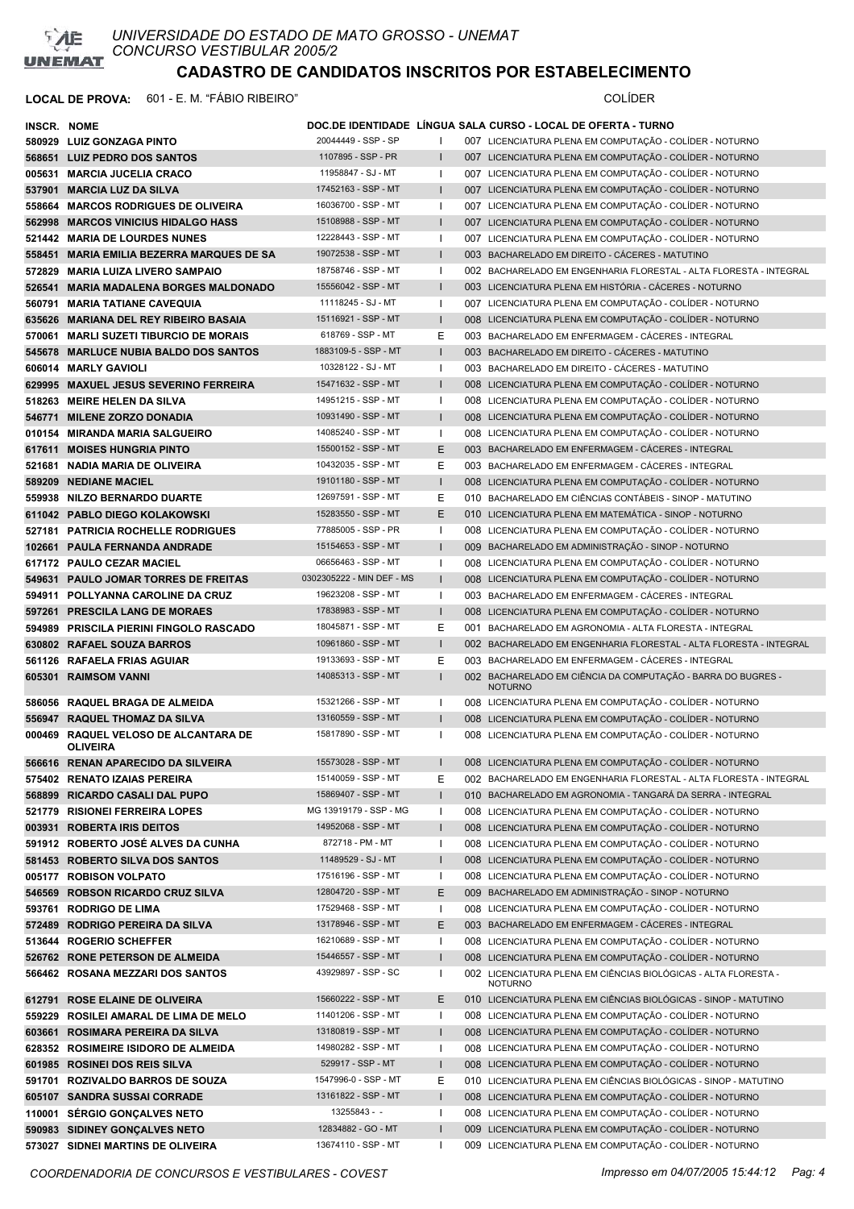

| <b>INSCR. NOME</b> |                                                         |                           |              | DOC.DE IDENTIDADE LINGUA SALA CURSO - LOCAL DE OFERTA - TURNO                     |
|--------------------|---------------------------------------------------------|---------------------------|--------------|-----------------------------------------------------------------------------------|
|                    | 580929 LUIZ GONZAGA PINTO                               | 20044449 - SSP - SP       |              | 007 LICENCIATURA PLENA EM COMPUTAÇÃO - COLÍDER - NOTURNO                          |
|                    | 568651 LUIZ PEDRO DOS SANTOS                            | 1107895 - SSP - PR        |              | 007 LICENCIATURA PLENA EM COMPUTAÇÃO - COLÍDER - NOTURNO                          |
|                    | 005631 MARCIA JUCELIA CRACO                             | 11958847 - SJ - MT        | $\mathbf{I}$ | 007 LICENCIATURA PLENA EM COMPUTAÇÃO - COLÍDER - NOTURNO                          |
|                    | 537901 MARCIA LUZ DA SILVA                              | 17452163 - SSP - MT       | ı            | 007 LICENCIATURA PLENA EM COMPUTAÇÃO - COLÍDER - NOTURNO                          |
|                    | 558664 MARCOS RODRIGUES DE OLIVEIRA                     | 16036700 - SSP - MT       | -1           | 007 LICENCIATURA PLENA EM COMPUTAÇÃO - COLÍDER - NOTURNO                          |
|                    | 562998 MARCOS VINICIUS HIDALGO HASS                     | 15108988 - SSP - MT       |              | 007 LICENCIATURA PLENA EM COMPUTAÇÃO - COLÍDER - NOTURNO                          |
|                    | 521442 MARIA DE LOURDES NUNES                           | 12228443 - SSP - MT       | J.           | 007 LICENCIATURA PLENA EM COMPUTAÇÃO - COLÍDER - NOTURNO                          |
|                    | 558451 MARIA EMILIA BEZERRA MARQUES DE SA               | 19072538 - SSP - MT       |              | 003 BACHARELADO EM DIREITO - CÁCERES - MATUTINO                                   |
|                    | 572829 MARIA LUIZA LIVERO SAMPAIO                       | 18758746 - SSP - MT       | ш            | 002 BACHARELADO EM ENGENHARIA FLORESTAL - ALTA FLORESTA - INTEGRAL                |
| 526541             | <b>MARIA MADALENA BORGES MALDONADO</b>                  | 15556042 - SSP - MT       |              | 003 LICENCIATURA PLENA EM HISTÓRIA - CÁCERES - NOTURNO                            |
| 560791             | <b>MARIA TATIANE CAVEQUIA</b>                           | 11118245 - SJ - MT        | ı            | 007 LICENCIATURA PLENA EM COMPUTAÇÃO - COLÍDER - NOTURNO                          |
|                    | 635626 MARIANA DEL REY RIBEIRO BASAIA                   | 15116921 - SSP - MT       | 1            | 008 LICENCIATURA PLENA EM COMPUTAÇÃO - COLÍDER - NOTURNO                          |
| 570061             | <b>MARLI SUZETI TIBURCIO DE MORAIS</b>                  | 618769 - SSP - MT         | Е            | 003 BACHARELADO EM ENFERMAGEM - CÁCERES - INTEGRAL                                |
|                    | 545678 MARLUCE NUBIA BALDO DOS SANTOS                   | 1883109-5 - SSP - MT      |              | 003 BACHARELADO EM DIREITO - CÁCERES - MATUTINO                                   |
|                    | 606014 MARLY GAVIOLI                                    | 10328122 - SJ - MT        | J.           | 003 BACHARELADO EM DIREITO - CÁCERES - MATUTINO                                   |
|                    | 629995 MAXUEL JESUS SEVERINO FERREIRA                   | 15471632 - SSP - MT       |              | 008 LICENCIATURA PLENA EM COMPUTAÇÃO - COLÍDER - NOTURNO                          |
|                    | 518263 MEIRE HELEN DA SILVA                             | 14951215 - SSP - MT       | ı            | 008 LICENCIATURA PLENA EM COMPUTAÇÃO - COLÍDER - NOTURNO                          |
| 546771             | <b>MILENE ZORZO DONADIA</b>                             | 10931490 - SSP - MT       |              | 008 LICENCIATURA PLENA EM COMPUTAÇÃO - COLÍDER - NOTURNO                          |
|                    | 010154 MIRANDA MARIA SALGUEIRO                          | 14085240 - SSP - MT       | $\mathbf{I}$ | 008 LICENCIATURA PLENA EM COMPUTAÇÃO - COLÍDER - NOTURNO                          |
|                    | 617611 MOISES HUNGRIA PINTO                             | 15500152 - SSP - MT       | Е            | 003 BACHARELADO EM ENFERMAGEM - CÁCERES - INTEGRAL                                |
|                    | 521681 NADIA MARIA DE OLIVEIRA                          | 10432035 - SSP - MT       | Е            | 003 BACHARELADO EM ENFERMAGEM - CÁCERES - INTEGRAL                                |
|                    | 589209 NEDIANE MACIEL                                   | 19101180 - SSP - MT       | ı            | 008 LICENCIATURA PLENA EM COMPUTAÇÃO - COLÍDER - NOTURNO                          |
|                    | 559938 NILZO BERNARDO DUARTE                            | 12697591 - SSP - MT       | Е            | 010 BACHARELADO EM CIÊNCIAS CONTÁBEIS - SINOP - MATUTINO                          |
|                    | 611042 PABLO DIEGO KOLAKOWSKI                           | 15283550 - SSP - MT       | Е            | 010 LICENCIATURA PLENA EM MATEMÁTICA - SINOP - NOTURNO                            |
|                    | 527181 PATRICIA ROCHELLE RODRIGUES                      | 77885005 - SSP - PR       | ı            | 008 LICENCIATURA PLENA EM COMPUTAÇÃO - COLÍDER - NOTURNO                          |
| 102661             | <b>PAULA FERNANDA ANDRADE</b>                           | 15154653 - SSP - MT       |              | 009 BACHARELADO EM ADMINISTRAÇÃO - SINOP - NOTURNO                                |
|                    | 617172 PAULO CEZAR MACIEL                               | 06656463 - SSP - MT       |              | 008 LICENCIATURA PLENA EM COMPUTAÇÃO - COLÍDER - NOTURNO                          |
| 549631             | <b>PAULO JOMAR TORRES DE FREITAS</b>                    | 0302305222 - MIN DEF - MS | ı            | 008 LICENCIATURA PLENA EM COMPUTAÇÃO - COLÍDER - NOTURNO                          |
|                    | 594911 POLLYANNA CAROLINE DA CRUZ                       | 19623208 - SSP - MT       | $\mathbf{I}$ | 003 BACHARELADO EM ENFERMAGEM - CÁCERES - INTEGRAL                                |
| 597261             | <b>PRESCILA LANG DE MORAES</b>                          | 17838983 - SSP - MT       | L            | 008 LICENCIATURA PLENA EM COMPUTAÇÃO - COLÍDER - NOTURNO                          |
|                    | 594989 PRISCILA PIERINI FINGOLO RASCADO                 | 18045871 - SSP - MT       | Е            | 001 BACHARELADO EM AGRONOMIA - ALTA FLORESTA - INTEGRAL                           |
|                    | 630802 RAFAEL SOUZA BARROS                              | 10961860 - SSP - MT       |              | 002 BACHARELADO EM ENGENHARIA FLORESTAL - ALTA FLORESTA - INTEGRAL                |
|                    | 561126 RAFAELA FRIAS AGUIAR                             | 19133693 - SSP - MT       | Ε            | 003 BACHARELADO EM ENFERMAGEM - CÁCERES - INTEGRAL                                |
|                    | 605301 RAIMSOM VANNI                                    | 14085313 - SSP - MT       |              | 002 BACHARELADO EM CIÊNCIA DA COMPUTAÇÃO - BARRA DO BUGRES -<br><b>NOTURNO</b>    |
|                    | 586056 RAQUEL BRAGA DE ALMEIDA                          | 15321266 - SSP - MT       | ш            | 008 LICENCIATURA PLENA EM COMPUTAÇÃO - COLÍDER - NOTURNO                          |
|                    | 556947 RAQUEL THOMAZ DA SILVA                           | 13160559 - SSP - MT       |              | 008 LICENCIATURA PLENA EM COMPUTAÇÃO - COLÍDER - NOTURNO                          |
|                    | 000469 RAQUEL VELOSO DE ALCANTARA DE<br><b>OLIVEIRA</b> | 15817890 - SSP - MT       |              | 008 LICENCIATURA PLENA EM COMPUTAÇÃO - COLÍDER - NOTURNO                          |
|                    | 566616 RENAN APARECIDO DA SILVEIRA                      | 15573028 - SSP - MT       |              | 008 LICENCIATURA PLENA EM COMPUTAÇÃO - COLIDER - NOTURNO                          |
|                    | 575402 RENATO IZAIAS PEREIRA                            | 15140059 - SSP - MT       | Е            | 002 BACHARELADO EM ENGENHARIA FLORESTAL - ALTA FLORESTA - INTEGRAL                |
|                    | 568899 RICARDO CASALI DAL PUPO                          | 15869407 - SSP - MT       |              | 010 BACHARELADO EM AGRONOMIA - TANGARÁ DA SERRA - INTEGRAL                        |
|                    | 521779 RISIONEI FERREIRA LOPES                          | MG 13919179 - SSP - MG    | ı            | 008 LICENCIATURA PLENA EM COMPUTAÇÃO - COLÍDER - NOTURNO                          |
|                    | 003931 ROBERTA IRIS DEITOS                              | 14952068 - SSP - MT       | ı            | 008 LICENCIATURA PLENA EM COMPUTAÇÃO - COLÍDER - NOTURNO                          |
|                    | 591912 ROBERTO JOSÉ ALVES DA CUNHA                      | 872718 - PM - MT          | -1           | 008 LICENCIATURA PLENA EM COMPUTAÇÃO - COLÍDER - NOTURNO                          |
|                    | 581453 ROBERTO SILVA DOS SANTOS                         | 11489529 - SJ - MT        |              | 008 LICENCIATURA PLENA EM COMPUTAÇÃO - COLÍDER - NOTURNO                          |
|                    | 005177 ROBISON VOLPATO                                  | 17516196 - SSP - MT       | -1           | 008 LICENCIATURA PLENA EM COMPUTAÇÃO - COLÍDER - NOTURNO                          |
|                    | 546569 ROBSON RICARDO CRUZ SILVA                        | 12804720 - SSP - MT       | Е            | 009 BACHARELADO EM ADMINISTRAÇÃO - SINOP - NOTURNO                                |
|                    | 593761 RODRIGO DE LIMA                                  | 17529468 - SSP - MT       | -1           | 008 LICENCIATURA PLENA EM COMPUTAÇÃO - COLÍDER - NOTURNO                          |
|                    | 572489 RODRIGO PEREIRA DA SILVA                         | 13178946 - SSP - MT       | Е            | 003 BACHARELADO EM ENFERMAGEM - CÁCERES - INTEGRAL                                |
|                    | 513644 ROGERIO SCHEFFER                                 | 16210689 - SSP - MT       |              | 008 LICENCIATURA PLENA EM COMPUTAÇÃO - COLÍDER - NOTURNO                          |
|                    | 526762 RONE PETERSON DE ALMEIDA                         | 15446557 - SSP - MT       | $\mathbf{I}$ | 008 LICENCIATURA PLENA EM COMPUTAÇÃO - COLÍDER - NOTURNO                          |
|                    | 566462 ROSANA MEZZARI DOS SANTOS                        | 43929897 - SSP - SC       | -1           | 002 LICENCIATURA PLENA EM CIÊNCIAS BIOLÓGICAS - ALTA FLORESTA -<br><b>NOTURNO</b> |
|                    | 612791 ROSE ELAINE DE OLIVEIRA                          | 15660222 - SSP - MT       | Е            | 010 LICENCIATURA PLENA EM CIÊNCIAS BIOLÓGICAS - SINOP - MATUTINO                  |
|                    | 559229 ROSILEI AMARAL DE LIMA DE MELO                   | 11401206 - SSP - MT       | J.           | 008 LICENCIATURA PLENA EM COMPUTAÇÃO - COLÍDER - NOTURNO                          |
| 603661             | ROSIMARA PEREIRA DA SILVA                               | 13180819 - SSP - MT       |              | 008 LICENCIATURA PLENA EM COMPUTAÇÃO - COLÍDER - NOTURNO                          |
|                    | 628352 ROSIMEIRE ISIDORO DE ALMEIDA                     | 14980282 - SSP - MT       | ı            | 008 LICENCIATURA PLENA EM COMPUTAÇÃO - COLÍDER - NOTURNO                          |
|                    | 601985 ROSINEI DOS REIS SILVA                           | 529917 - SSP - MT         | $\mathsf{l}$ | 008 LICENCIATURA PLENA EM COMPUTAÇÃO - COLÍDER - NOTURNO                          |
|                    | 591701 ROZIVALDO BARROS DE SOUZA                        | 1547996-0 - SSP - MT      | Е            | 010 LICENCIATURA PLENA EM CIÊNCIAS BIOLÓGICAS - SINOP - MATUTINO                  |
|                    | 605107 SANDRA SUSSAI CORRADE                            | 13161822 - SSP - MT       |              | 008 LICENCIATURA PLENA EM COMPUTAÇÃO - COLÍDER - NOTURNO                          |
|                    | 110001 SERGIO GONÇALVES NETO                            | $13255843 -$              | -1           | 008 LICENCIATURA PLENA EM COMPUTAÇÃO - COLÍDER - NOTURNO                          |
|                    | 590983 SIDINEY GONÇALVES NETO                           | 12834882 - GO - MT        | ı            | 009 LICENCIATURA PLENA EM COMPUTAÇÃO - COLÍDER - NOTURNO                          |
|                    | 573027 SIDNEI MARTINS DE OLIVEIRA                       | 13674110 - SSP - MT       | $\mathbf{I}$ | 009 LICENCIATURA PLENA EM COMPUTAÇÃO - COLÍDER - NOTURNO                          |